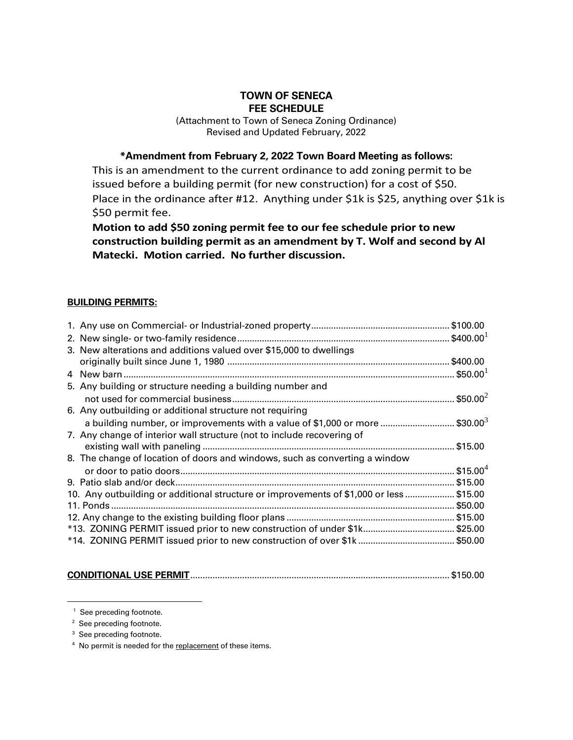## **TOWN OF SENECA FEE SCHEDULE**

(Attachment to Town of Seneca Zoning Ordinance) Revised and Updated February, 2022

**\*Amendment from February 2, 2022 Town Board Meeting as follows:** 

This is an amendment to the current ordinance to add zoning permit to be issued before a building permit (for new construction) for a cost of \$50. Place in the ordinance after #12. Anything under \$1k is \$25, anything over \$1k is \$50 permit fee.

**Motion to add \$50 zoning permit fee to our fee schedule prior to new construction building permit as an amendment by T. Wolf and second by Al Matecki. Motion carried. No further discussion.**

## **BUILDING PERMITS:**

| 3. New alterations and additions valued over \$15,000 to dwellings                       |                |
|------------------------------------------------------------------------------------------|----------------|
|                                                                                          |                |
|                                                                                          |                |
| 5. Any building or structure needing a building number and                               |                |
|                                                                                          | . \$50.00 $^2$ |
| 6. Any outbuilding or additional structure not requiring                                 |                |
| a building number, or improvements with a value of \$1,000 or more  \$30.00 <sup>3</sup> |                |
| 7. Any change of interior wall structure (not to include recovering of                   |                |
|                                                                                          |                |
| 8. The change of location of doors and windows, such as converting a window              |                |
|                                                                                          |                |
|                                                                                          |                |
| 10. Any outbuilding or additional structure or improvements of \$1,000 or less \$15.00   |                |
|                                                                                          |                |
|                                                                                          |                |
| *13. ZONING PERMIT issued prior to new construction of under \$1k\$25.00                 |                |
|                                                                                          |                |
|                                                                                          |                |

|--|--|

<sup>&</sup>lt;sup>1</sup> See preceding footnote.

<sup>&</sup>lt;sup>2</sup> See preceding footnote.

<sup>&</sup>lt;sup>3</sup> See preceding footnote.

 <sup>4</sup> No permit is needed for the replacement of these items.